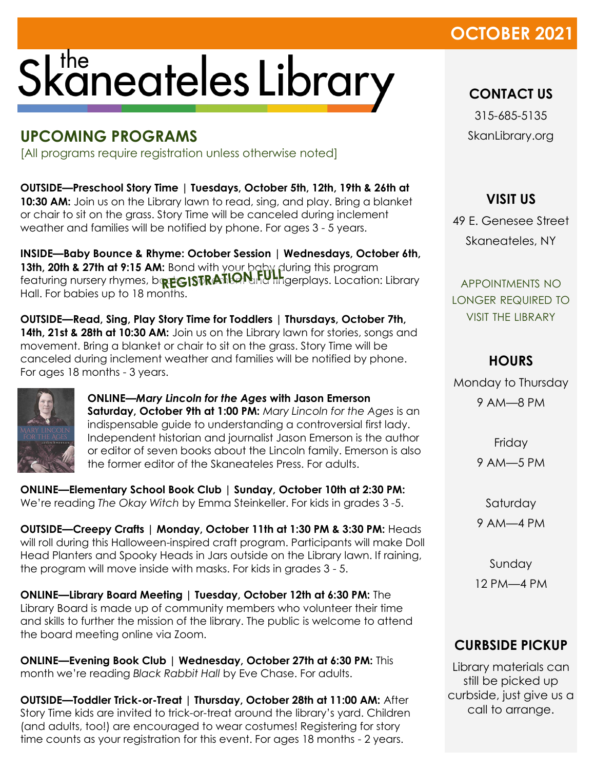## **OCTOBER 2021**

# Skaneateles Library

### **UPCOMING PROGRAMS**

[All programs require registration unless otherwise noted]

**OUTSIDE—Preschool Story Time | Tuesdays, October 5th, 12th, 19th & 26th at 10:30 AM:** Join us on the Library lawn to read, sing, and play. Bring a blanket or chair to sit on the grass. Story Time will be canceled during inclement weather and families will be notified by phone. For ages 3 - 5 years.

**INSIDE—Baby Bounce & Rhyme: October Session | Wednesdays, October 6th, 13th, 20th & 27th at 9:15 AM:** Bond with your baby during this program featuring nursery rhymes, bort GISTRATILANTY fingerplays. Location: Library Hall. For babies up to 18 months.

**OUTSIDE—Read, Sing, Play Story Time for Toddlers | Thursdays, October 7th, 14th, 21st & 28th at 10:30 AM:** Join us on the Library lawn for stories, songs and movement. Bring a blanket or chair to sit on the grass. Story Time will be canceled during inclement weather and families will be notified by phone. For ages 18 months - 3 years.



**ONLINE—***Mary Lincoln for the Ages* **with Jason Emerson Saturday, October 9th at 1:00 PM:** *Mary Lincoln for the Ages* is an indispensable guide to understanding a controversial first lady. Independent historian and journalist Jason Emerson is the author or editor of seven books about the Lincoln family. Emerson is also the former editor of the Skaneateles Press. For adults.

**ONLINE—Elementary School Book Club | Sunday, October 10th at 2:30 PM:**  We're reading *The Okay Witch* by Emma Steinkeller. For kids in grades 3 -5.

**OUTSIDE—Creepy Crafts | Monday, October 11th at 1:30 PM & 3:30 PM:** Heads will roll during this Halloween-inspired craft program. Participants will make Doll Head Planters and Spooky Heads in Jars outside on the Library lawn. If raining, the program will move inside with masks. For kids in grades 3 - 5.

**ONLINE—Library Board Meeting | Tuesday, October 12th at 6:30 PM:** The Library Board is made up of community members who volunteer their time and skills to further the mission of the library. The public is welcome to attend the board meeting online via Zoom.

**ONLINE—Evening Book Club | Wednesday, October 27th at 6:30 PM:** This month we're reading *Black Rabbit Hall* by Eve Chase. For adults.

**OUTSIDE—Toddler Trick-or-Treat | Thursday, October 28th at 11:00 AM:** After Story Time kids are invited to trick-or-treat around the library's yard. Children (and adults, too!) are encouraged to wear costumes! Registering for story time counts as your registration for this event. For ages 18 months - 2 years.

**CONTACT US**

315-685-5135 SkanLibrary.org

#### **VISIT US**

49 E. Genesee Street Skaneateles, NY

APPOINTMENTS NO LONGER REQUIRED TO VISIT THE LIBRARY

#### **HOURS**

Monday to Thursday

9 AM—8 PM

Friday

9 AM—5 PM

Saturday

9 AM—4 PM

Sunday 12 PM—4 PM

#### **CURBSIDE PICKUP**

Library materials can still be picked up curbside, just give us a call to arrange.